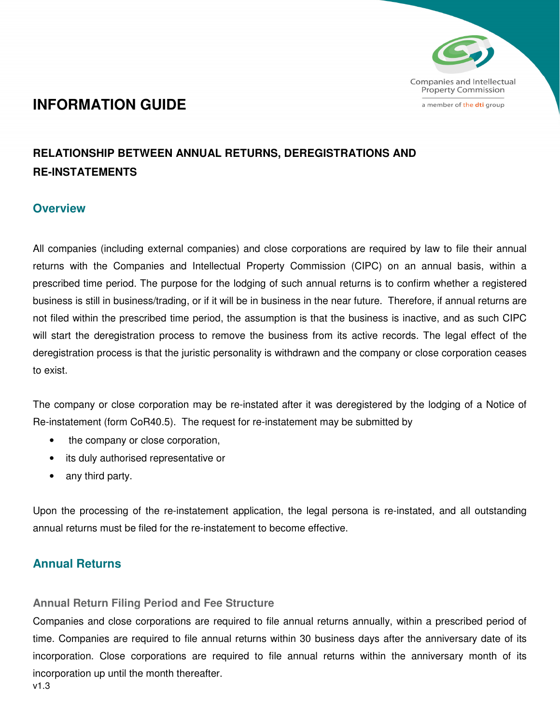

# **INFORMATION GUIDE**

# **RELATIONSHIP BETWEEN ANNUAL RETURNS, DEREGISTRATIONS AND RE-INSTATEMENTS**

# **Overview**

All companies (including external companies) and close corporations are required by law to file their annual returns with the Companies and Intellectual Property Commission (CIPC) on an annual basis, within a prescribed time period. The purpose for the lodging of such annual returns is to confirm whether a registered business is still in business/trading, or if it will be in business in the near future. Therefore, if annual returns are not filed within the prescribed time period, the assumption is that the business is inactive, and as such CIPC will start the deregistration process to remove the business from its active records. The legal effect of the deregistration process is that the juristic personality is withdrawn and the company or close corporation ceases to exist.

The company or close corporation may be re-instated after it was deregistered by the lodging of a Notice of Re-instatement (form CoR40.5). The request for re-instatement may be submitted by

- the company or close corporation,
- its duly authorised representative or
- any third party.

Upon the processing of the re-instatement application, the legal persona is re-instated, and all outstanding annual returns must be filed for the re-instatement to become effective.

# **Annual Returns**

## **Annual Return Filing Period and Fee Structure**

v1.3 Companies and close corporations are required to file annual returns annually, within a prescribed period of time. Companies are required to file annual returns within 30 business days after the anniversary date of its incorporation. Close corporations are required to file annual returns within the anniversary month of its incorporation up until the month thereafter.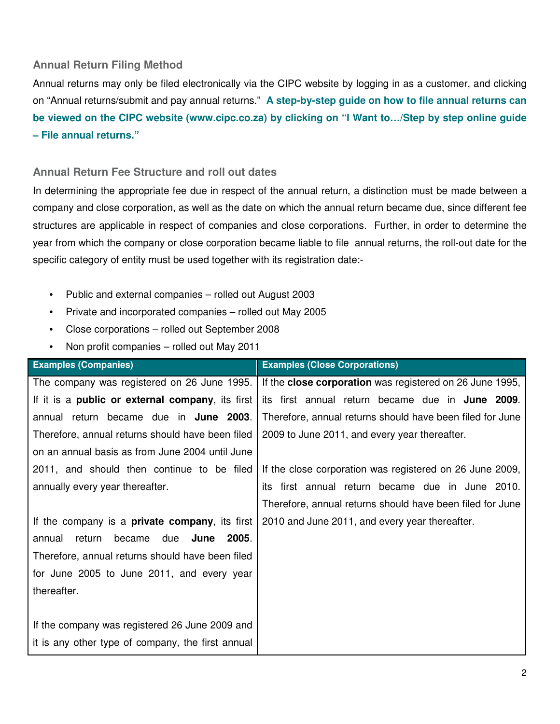#### **Annual Return Filing Method**

Annual returns may only be filed electronically via the CIPC website by logging in as a customer, and clicking on "Annual returns/submit and pay annual returns." **A step-by-step guide on how to file annual returns can be viewed on the CIPC website (www.cipc.co.za) by clicking on "I Want to…/Step by step online guide – File annual returns."** 

#### **Annual Return Fee Structure and roll out dates**

In determining the appropriate fee due in respect of the annual return, a distinction must be made between a company and close corporation, as well as the date on which the annual return became due, since different fee structures are applicable in respect of companies and close corporations. Further, in order to determine the year from which the company or close corporation became liable to file annual returns, the roll-out date for the specific category of entity must be used together with its registration date:-

- Public and external companies rolled out August 2003
- Private and incorporated companies rolled out May 2005
- Close corporations rolled out September 2008
- Non profit companies rolled out May 2011

| <b>Examples (Companies)</b>                              | <b>Examples (Close Corporations)</b>                      |  |  |
|----------------------------------------------------------|-----------------------------------------------------------|--|--|
| The company was registered on 26 June 1995.              | If the close corporation was registered on 26 June 1995,  |  |  |
| If it is a <b>public or external company</b> , its first | its first annual return became due in <b>June 2009</b> .  |  |  |
| annual return became due in June 2003.                   | Therefore, annual returns should have been filed for June |  |  |
| Therefore, annual returns should have been filed         | 2009 to June 2011, and every year thereafter.             |  |  |
| on an annual basis as from June 2004 until June          |                                                           |  |  |
| 2011, and should then continue to be filed               | If the close corporation was registered on 26 June 2009,  |  |  |
| annually every year thereafter.                          | its first annual return became due in June 2010.          |  |  |
|                                                          | Therefore, annual returns should have been filed for June |  |  |
| If the company is a <b>private company</b> , its first   | 2010 and June 2011, and every year thereafter.            |  |  |
| June<br>return<br>became<br>due<br>2005.<br>annual       |                                                           |  |  |
| Therefore, annual returns should have been filed         |                                                           |  |  |
| for June 2005 to June 2011, and every year               |                                                           |  |  |
| thereafter.                                              |                                                           |  |  |
|                                                          |                                                           |  |  |
| If the company was registered 26 June 2009 and           |                                                           |  |  |
| it is any other type of company, the first annual        |                                                           |  |  |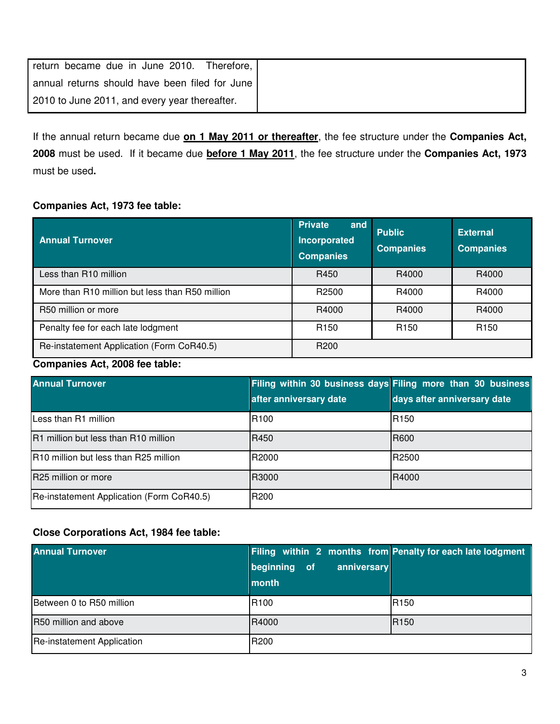| return became due in June 2010. Therefore,     |
|------------------------------------------------|
| annual returns should have been filed for June |
| 2010 to June 2011, and every year thereafter.  |

If the annual return became due **on 1 May 2011 or thereafter**, the fee structure under the **Companies Act, 2008** must be used. If it became due **before 1 May 2011**, the fee structure under the **Companies Act, 1973**  must be used**.**

## **Companies Act, 1973 fee table:**

| <b>Annual Turnover</b>                          | <b>Private</b><br>and<br><b>Incorporated</b><br><b>Companies</b> | <b>Public</b><br><b>Companies</b> | <b>External</b><br><b>Companies</b> |
|-------------------------------------------------|------------------------------------------------------------------|-----------------------------------|-------------------------------------|
| Less than R10 million                           | R450                                                             | R4000                             | R4000                               |
| More than R10 million but less than R50 million | R <sub>2500</sub>                                                | R4000                             | R4000                               |
| R50 million or more                             | R4000                                                            | R4000                             | R4000                               |
| Penalty fee for each late lodgment              | R <sub>150</sub>                                                 | R <sub>150</sub>                  | R <sub>150</sub>                    |
| Re-instatement Application (Form CoR40.5)       | R <sub>200</sub>                                                 |                                   |                                     |

## **Companies Act, 2008 fee table:**

| <b>Annual Turnover</b>                    |                        | Filing within 30 business days Filing more than 30 business |
|-------------------------------------------|------------------------|-------------------------------------------------------------|
|                                           | after anniversary date | days after anniversary date                                 |
| Less than R1 million                      | R <sub>100</sub>       | R <sub>150</sub>                                            |
| R1 million but less than R10 million      | R450                   | <b>R600</b>                                                 |
| R10 million but less than R25 million     | R2000                  | R2500                                                       |
| R25 million or more                       | R3000                  | R4000                                                       |
| Re-instatement Application (Form CoR40.5) | R <sub>200</sub>       |                                                             |

## **Close Corporations Act, 1984 fee table:**

| <b>Annual Turnover</b>     | beginning of<br>anniversary<br>month | Filing within 2 months from Penalty for each late lodgment |
|----------------------------|--------------------------------------|------------------------------------------------------------|
| Between 0 to R50 million   | R <sub>100</sub>                     | R <sub>150</sub>                                           |
| R50 million and above      | R4000                                | R <sub>150</sub>                                           |
| Re-instatement Application | R200                                 |                                                            |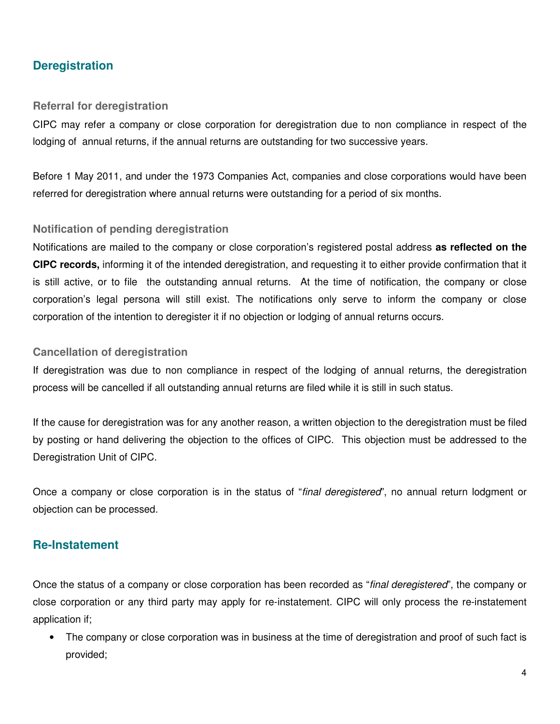# **Deregistration**

#### **Referral for deregistration**

CIPC may refer a company or close corporation for deregistration due to non compliance in respect of the lodging of annual returns, if the annual returns are outstanding for two successive years.

Before 1 May 2011, and under the 1973 Companies Act, companies and close corporations would have been referred for deregistration where annual returns were outstanding for a period of six months.

#### **Notification of pending deregistration**

Notifications are mailed to the company or close corporation's registered postal address **as reflected on the CIPC records,** informing it of the intended deregistration, and requesting it to either provide confirmation that it is still active, or to file the outstanding annual returns. At the time of notification, the company or close corporation's legal persona will still exist. The notifications only serve to inform the company or close corporation of the intention to deregister it if no objection or lodging of annual returns occurs.

#### **Cancellation of deregistration**

If deregistration was due to non compliance in respect of the lodging of annual returns, the deregistration process will be cancelled if all outstanding annual returns are filed while it is still in such status.

If the cause for deregistration was for any another reason, a written objection to the deregistration must be filed by posting or hand delivering the objection to the offices of CIPC. This objection must be addressed to the Deregistration Unit of CIPC.

Once a company or close corporation is in the status of "final deregistered", no annual return lodgment or objection can be processed.

## **Re-Instatement**

Once the status of a company or close corporation has been recorded as "final deregistered", the company or close corporation or any third party may apply for re-instatement. CIPC will only process the re-instatement application if;

• The company or close corporation was in business at the time of deregistration and proof of such fact is provided;